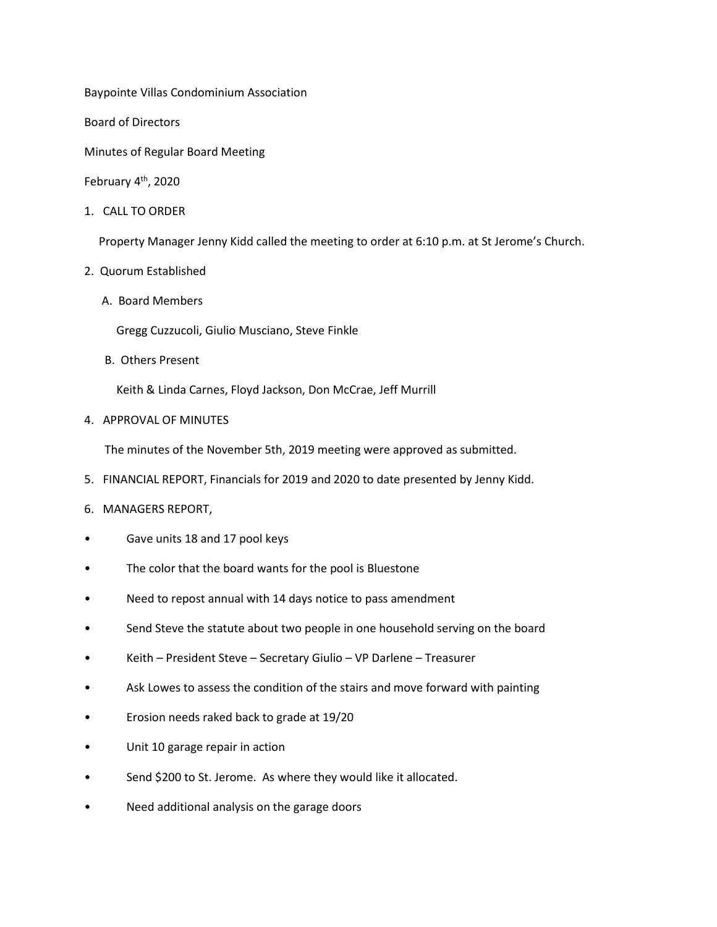Baypointe Villas Condominium Association

Board of Directors

Minutes of Regular Board Meeting

February 4<sup>th</sup>, 2020

1. CALL TO ORDER

Property Manager Jenny Kidd called the meeting to order at 6:10 p.m. at St Jerome's Church.

- 2. Quorum Established
	- A. Board Members

Gregg Cuzzucoli, Giulio Musciano, Steve Finkle

B. Others Present

Keith & Linda Carnes, Floyd Jackson, Don McCrae, Jeff Murrill

4. APPROVAL OF MINUTES

The minutes of the November 5th, 2019 meeting were approved as submitted.

- 5. FINANCIAL REPORT, Financials for 2019 and 2020 to date presented by Jenny Kidd.
- 6. MANAGERS REPORT,
- Gave units 18 and 17 pool keys
- The color that the board wants for the pool is Bluestone
- Need to repost annual with 14 days notice to pass amendment
- Send Steve the statute about two people in one household serving on the board
- Keith President Steve Secretary Giulio VP Darlene Treasurer
- Ask Lowes to assess the condition of the stairs and move forward with painting
- Erosion needs raked back to grade at 19/20
- Unit 10 garage repair in action
- Send \$200 to St. Jerome. As where they would like it allocated.
- Need additional analysis on the garage doors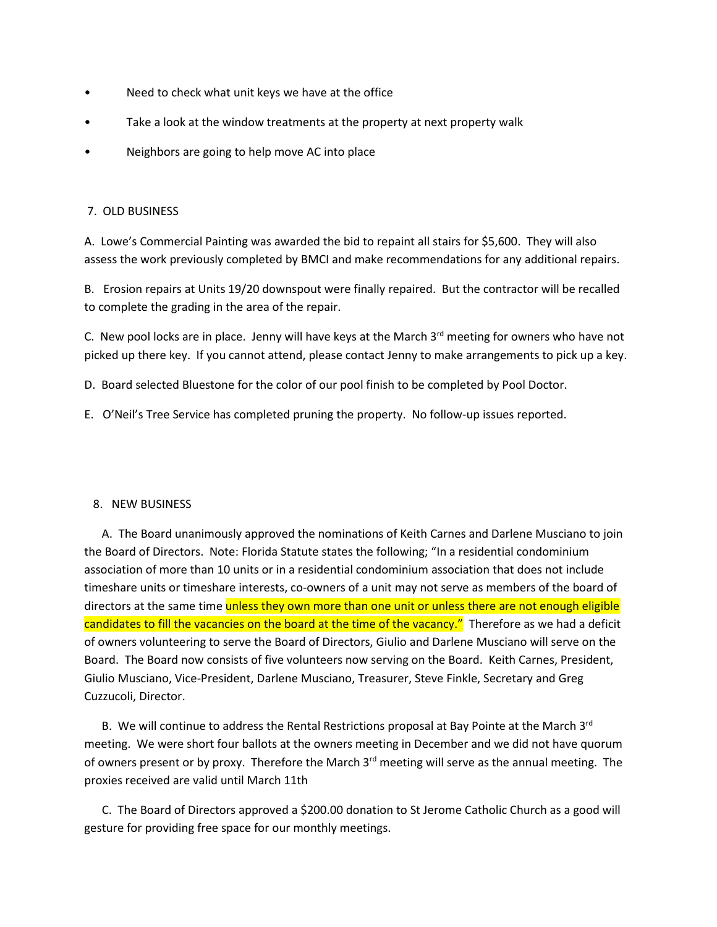- Need to check what unit keys we have at the office
- Take a look at the window treatments at the property at next property walk
- Neighbors are going to help move AC into place

## 7. OLD BUSINESS

A. Lowe's Commercial Painting was awarded the bid to repaint all stairs for \$5,600. They will also assess the work previously completed by BMCI and make recommendations for any additional repairs.

B. Erosion repairs at Units 19/20 downspout were finally repaired. But the contractor will be recalled to complete the grading in the area of the repair.

C. New pool locks are in place. Jenny will have keys at the March  $3<sup>rd</sup>$  meeting for owners who have not picked up there key. If you cannot attend, please contact Jenny to make arrangements to pick up a key.

D. Board selected Bluestone for the color of our pool finish to be completed by Pool Doctor.

E. O'Neil's Tree Service has completed pruning the property. No follow-up issues reported.

## 8. NEW BUSINESS

 A. The Board unanimously approved the nominations of Keith Carnes and Darlene Musciano to join the Board of Directors. Note: Florida Statute states the following; "In a residential condominium association of more than 10 units or in a residential condominium association that does not include timeshare units or timeshare interests, co-owners of a unit may not serve as members of the board of directors at the same time unless they own more than one unit or unless there are not enough eligible candidates to fill the vacancies on the board at the time of the vacancy." Therefore as we had a deficit of owners volunteering to serve the Board of Directors, Giulio and Darlene Musciano will serve on the Board. The Board now consists of five volunteers now serving on the Board. Keith Carnes, President, Giulio Musciano, Vice-President, Darlene Musciano, Treasurer, Steve Finkle, Secretary and Greg Cuzzucoli, Director.

B. We will continue to address the Rental Restrictions proposal at Bay Pointe at the March  $3<sup>rd</sup>$ meeting. We were short four ballots at the owners meeting in December and we did not have quorum of owners present or by proxy. Therefore the March  $3<sup>rd</sup>$  meeting will serve as the annual meeting. The proxies received are valid until March 11th

 C. The Board of Directors approved a \$200.00 donation to St Jerome Catholic Church as a good will gesture for providing free space for our monthly meetings.